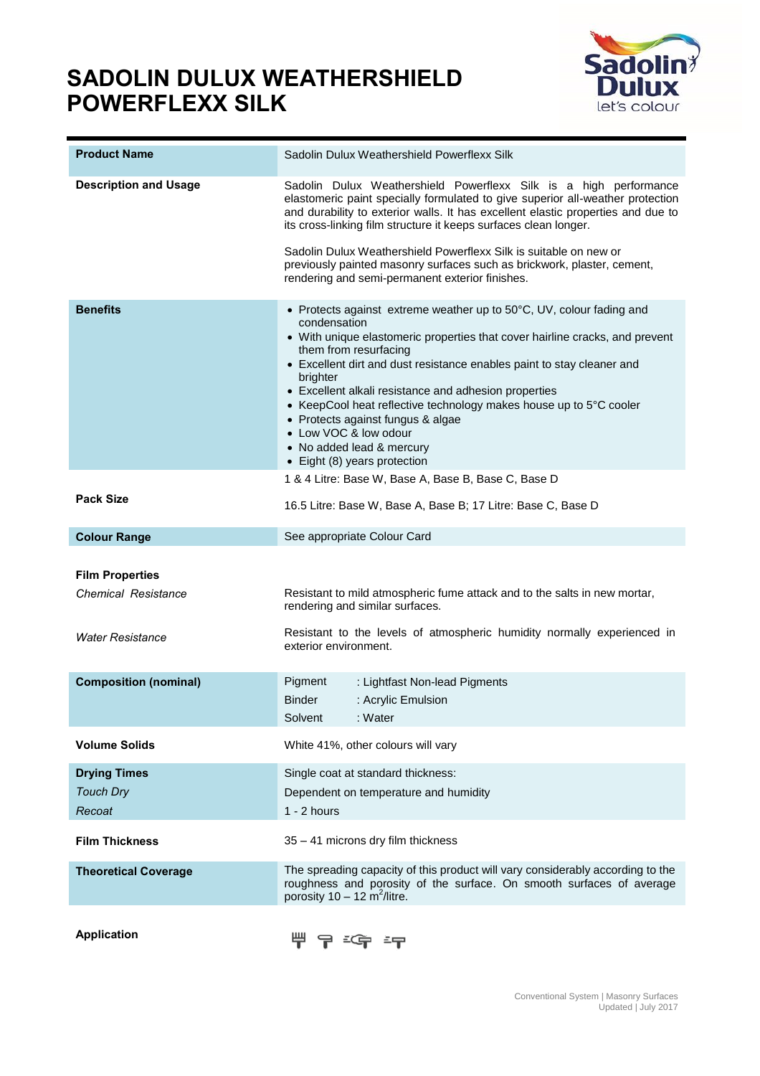## **SADOLIN DULUX WEATHERSHIELD POWERFLEXX SILK**



| <b>Product Name</b>                                                      | Sadolin Dulux Weathershield Powerflexx Silk                                                                                                                                                                                                                                                                                                                                                                                                                                                                    |  |
|--------------------------------------------------------------------------|----------------------------------------------------------------------------------------------------------------------------------------------------------------------------------------------------------------------------------------------------------------------------------------------------------------------------------------------------------------------------------------------------------------------------------------------------------------------------------------------------------------|--|
| <b>Description and Usage</b>                                             | Sadolin Dulux Weathershield Powerflexx Silk is a high performance<br>elastomeric paint specially formulated to give superior all-weather protection<br>and durability to exterior walls. It has excellent elastic properties and due to<br>its cross-linking film structure it keeps surfaces clean longer.<br>Sadolin Dulux Weathershield Powerflexx Silk is suitable on new or<br>previously painted masonry surfaces such as brickwork, plaster, cement,<br>rendering and semi-permanent exterior finishes. |  |
| <b>Benefits</b>                                                          | • Protects against extreme weather up to 50°C, UV, colour fading and                                                                                                                                                                                                                                                                                                                                                                                                                                           |  |
|                                                                          | condensation<br>• With unique elastomeric properties that cover hairline cracks, and prevent<br>them from resurfacing<br>• Excellent dirt and dust resistance enables paint to stay cleaner and<br>brighter<br>• Excellent alkali resistance and adhesion properties<br>• KeepCool heat reflective technology makes house up to $5^{\circ}$ C cooler<br>• Protects against fungus & algae<br>• Low VOC & low odour<br>• No added lead & mercury<br>• Eight (8) years protection                                |  |
|                                                                          | 1 & 4 Litre: Base W, Base A, Base B, Base C, Base D                                                                                                                                                                                                                                                                                                                                                                                                                                                            |  |
| <b>Pack Size</b>                                                         | 16.5 Litre: Base W, Base A, Base B; 17 Litre: Base C, Base D                                                                                                                                                                                                                                                                                                                                                                                                                                                   |  |
| <b>Colour Range</b>                                                      | See appropriate Colour Card                                                                                                                                                                                                                                                                                                                                                                                                                                                                                    |  |
| <b>Film Properties</b><br><b>Chemical Resistance</b><br>Water Resistance | Resistant to mild atmospheric fume attack and to the salts in new mortar,<br>rendering and similar surfaces.<br>Resistant to the levels of atmospheric humidity normally experienced in<br>exterior environment.                                                                                                                                                                                                                                                                                               |  |
|                                                                          |                                                                                                                                                                                                                                                                                                                                                                                                                                                                                                                |  |
| <b>Composition (nominal)</b>                                             | Pigment<br>: Lightfast Non-lead Pigments<br><b>Binder</b><br>: Acrylic Emulsion<br>: Water<br>Solvent                                                                                                                                                                                                                                                                                                                                                                                                          |  |
| <b>Volume Solids</b>                                                     | White 41%, other colours will vary                                                                                                                                                                                                                                                                                                                                                                                                                                                                             |  |
| <b>Drying Times</b>                                                      | Single coat at standard thickness:                                                                                                                                                                                                                                                                                                                                                                                                                                                                             |  |
| <b>Touch Dry</b>                                                         | Dependent on temperature and humidity                                                                                                                                                                                                                                                                                                                                                                                                                                                                          |  |
| Recoat                                                                   | $1 - 2$ hours                                                                                                                                                                                                                                                                                                                                                                                                                                                                                                  |  |
| <b>Film Thickness</b>                                                    | 35 - 41 microns dry film thickness                                                                                                                                                                                                                                                                                                                                                                                                                                                                             |  |
| <b>Theoretical Coverage</b>                                              | The spreading capacity of this product will vary considerably according to the<br>roughness and porosity of the surface. On smooth surfaces of average<br>porosity $10 - 12$ m <sup>2</sup> /litre.                                                                                                                                                                                                                                                                                                            |  |

**Application**